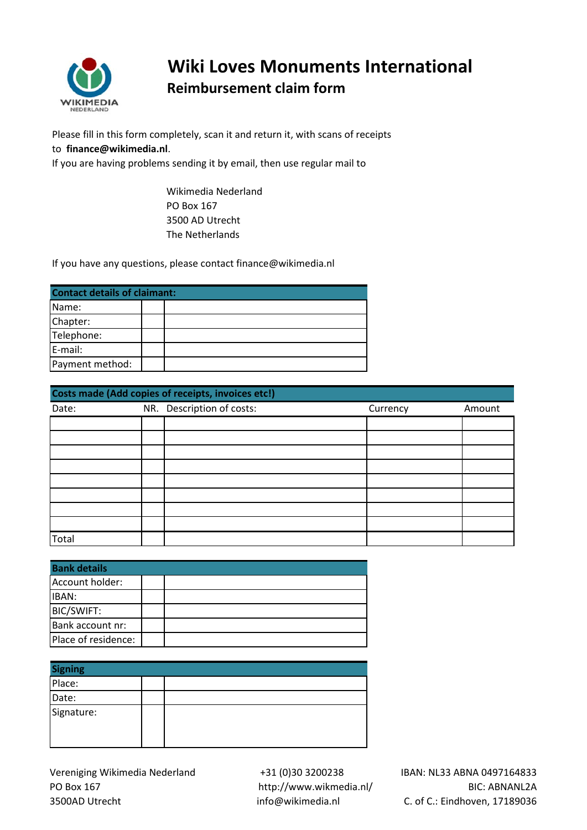

## **Wiki Loves Monuments International**

## **Reimbursement claim form**

Please fill in this form completely, scan it and return it, with scans of receipts to **finance@wikimedia.nl**.

If you are having problems sending it by email, then use regular mail to

Wikimedia Nederland PO Box 167 3500 AD Utrecht The Netherlands

If you have any questions, please contact finance@wikimedia.nl

| <b>Contact details of claimant:</b> |  |  |  |
|-------------------------------------|--|--|--|
| Name:                               |  |  |  |
| Chapter:                            |  |  |  |
| Telephone:                          |  |  |  |
| E-mail:                             |  |  |  |
| Payment method:                     |  |  |  |

| Costs made (Add copies of receipts, invoices etc!) |  |                           |          |        |  |  |  |
|----------------------------------------------------|--|---------------------------|----------|--------|--|--|--|
| Date:                                              |  | NR. Description of costs: | Currency | Amount |  |  |  |
|                                                    |  |                           |          |        |  |  |  |
|                                                    |  |                           |          |        |  |  |  |
|                                                    |  |                           |          |        |  |  |  |
|                                                    |  |                           |          |        |  |  |  |
|                                                    |  |                           |          |        |  |  |  |
|                                                    |  |                           |          |        |  |  |  |
|                                                    |  |                           |          |        |  |  |  |
|                                                    |  |                           |          |        |  |  |  |
| Total                                              |  |                           |          |        |  |  |  |

| <b>Bank details</b> |  |  |  |  |  |
|---------------------|--|--|--|--|--|
| Account holder:     |  |  |  |  |  |
| IBAN:               |  |  |  |  |  |
| <b>BIC/SWIFT:</b>   |  |  |  |  |  |
| Bank account nr:    |  |  |  |  |  |
| Place of residence: |  |  |  |  |  |

| <b>Signing</b> |  |  |  |  |
|----------------|--|--|--|--|
| Place:         |  |  |  |  |
| Date:          |  |  |  |  |
| Signature:     |  |  |  |  |

Vereniging Wikimedia Nederland PO Box 167 3500AD Utrecht

 +31 (0)30 3200238 http://www.wikmedia.nl/ info@wikimedia.nl

IBAN: NL33 ABNA 0497164833 BIC: ABNANL2A C. of C.: Eindhoven, 17189036